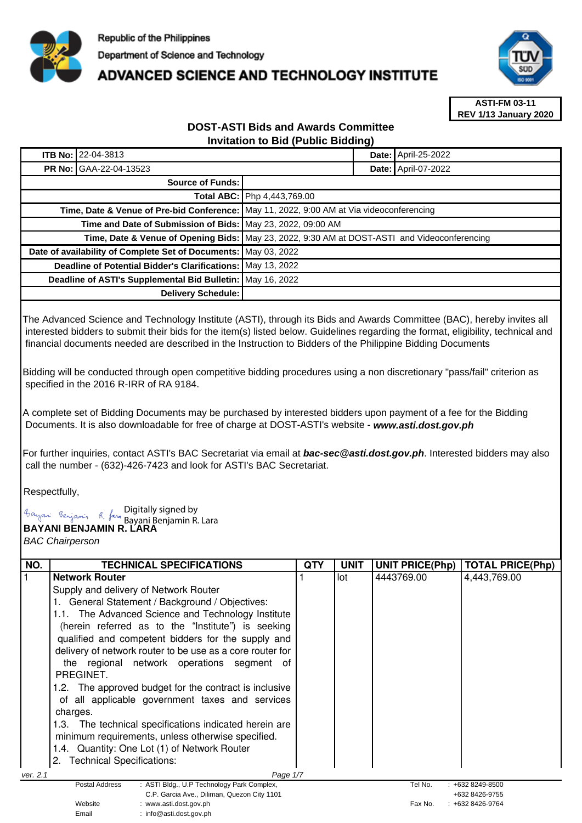

## **ADVANCED SCIENCE AND TECHNOLOGY INSTITUTE**



**ASTI-FM 03-11 REV 1/13 January 2020**

## **DOST-ASTI Bids and Awards Committee Invitation to Bid (Public Bidding)**

| <b>ITB No: 22-04-3813</b>                                     | <b>Date: April-25-2022</b>                                                                   |  |
|---------------------------------------------------------------|----------------------------------------------------------------------------------------------|--|
| <b>PR No: GAA-22-04-13523</b>                                 | <b>Date: April-07-2022</b>                                                                   |  |
| Source of Funds:                                              |                                                                                              |  |
| Total ABC: Php 4,443,769.00                                   |                                                                                              |  |
|                                                               | Time, Date & Venue of Pre-bid Conference: May 11, 2022, 9:00 AM at Via videoconferencing     |  |
| Time and Date of Submission of Bids: May 23, 2022, 09:00 AM   |                                                                                              |  |
|                                                               | Time, Date & Venue of Opening Bids: May 23, 2022, 9:30 AM at DOST-ASTI and Videoconferencing |  |
|                                                               | Date of availability of Complete Set of Documents: May 03, 2022                              |  |
| Deadline of Potential Bidder's Clarifications:   May 13, 2022 |                                                                                              |  |
| Deadline of ASTI's Supplemental Bid Bulletin: May 16, 2022    |                                                                                              |  |
| <b>Delivery Schedule:</b>                                     |                                                                                              |  |

The Advanced Science and Technology Institute (ASTI), through its Bids and Awards Committee (BAC), hereby invites all interested bidders to submit their bids for the item(s) listed below. Guidelines regarding the format, eligibility, technical and financial documents needed are described in the Instruction to Bidders of the Philippine Bidding Documents

Bidding will be conducted through open competitive bidding procedures using a non discretionary "pass/fail" criterion as specified in the 2016 R-IRR of RA 9184.

A complete set of Bidding Documents may be purchased by interested bidders upon payment of a fee for the Bidding Documents. It is also downloadable for free of charge at DOST-ASTI's website - **www.asti.dost.gov.ph**

For further inquiries, contact ASTI's BAC Secretariat via email at **bac-sec@asti.dost.gov.ph**. Interested bidders may also call the number - (632)-426-7423 and look for ASTI's BAC Secretariat.

Respectfully,

**BAYANI BENJAMIN R. LARA**  Digitally signed by Bayani Benjamin R. Lara

Email : info@asti.dost.gov.ph

BAC Chairperson

| NO.      | <b>TECHNICAL SPECIFICATIONS</b>                                                 | QTY | <b>UNIT</b> | <b>UNIT PRICE(Php)</b> | <b>TOTAL PRICE(Php)</b> |
|----------|---------------------------------------------------------------------------------|-----|-------------|------------------------|-------------------------|
|          | <b>Network Router</b>                                                           |     | lot         | 4443769.00             | 4,443,769.00            |
|          | Supply and delivery of Network Router                                           |     |             |                        |                         |
|          | General Statement / Background / Objectives:                                    |     |             |                        |                         |
|          | 1.1. The Advanced Science and Technology Institute                              |     |             |                        |                         |
|          |                                                                                 |     |             |                        |                         |
|          | (herein referred as to the "Institute") is seeking                              |     |             |                        |                         |
|          | qualified and competent bidders for the supply and                              |     |             |                        |                         |
|          | delivery of network router to be use as a core router for                       |     |             |                        |                         |
|          | the regional network operations segment of                                      |     |             |                        |                         |
|          | PREGINET.                                                                       |     |             |                        |                         |
|          | 1.2. The approved budget for the contract is inclusive                          |     |             |                        |                         |
|          | of all applicable government taxes and services                                 |     |             |                        |                         |
|          | charges.                                                                        |     |             |                        |                         |
|          | 1.3. The technical specifications indicated herein are                          |     |             |                        |                         |
|          | minimum requirements, unless otherwise specified.                               |     |             |                        |                         |
|          | 1.4. Quantity: One Lot (1) of Network Router                                    |     |             |                        |                         |
|          | <b>Technical Specifications:</b><br>2.                                          |     |             |                        |                         |
|          |                                                                                 |     |             |                        |                         |
| ver. 2.1 | Page 1/7<br>: ASTI Bldg., U.P Technology Park Complex,<br><b>Postal Address</b> |     |             | Tel No.                | $: +6328249 - 8500$     |
|          | C.P. Garcia Ave., Diliman, Quezon City 1101                                     |     |             |                        | +632 8426-9755          |
|          | Website<br>www.asti.dost.gov.ph                                                 |     |             | Fax No.                | +632 8426-9764          |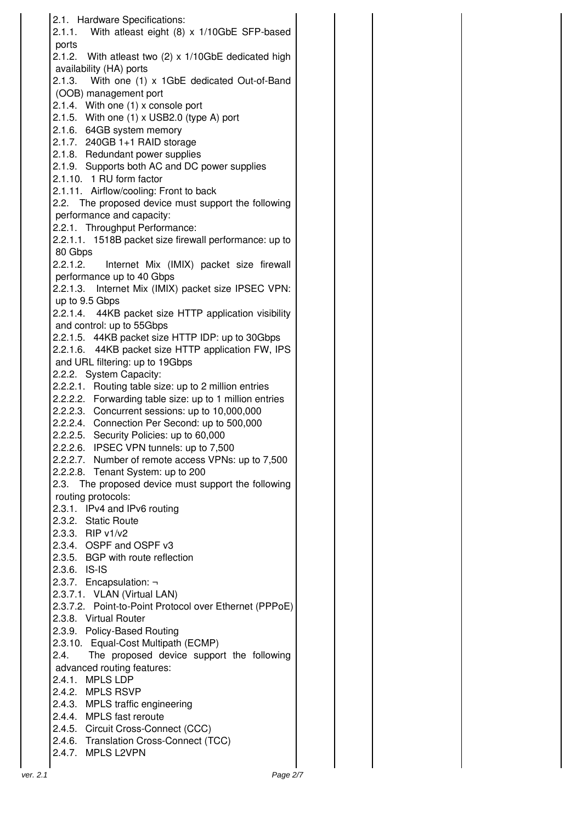|          | 2.1. Hardware Specifications:                                                                 |
|----------|-----------------------------------------------------------------------------------------------|
|          | 2.1.1. With atleast eight (8) x 1/10GbE SFP-based                                             |
|          | ports                                                                                         |
|          | 2.1.2. With atleast two (2) x 1/10GbE dedicated high<br>availability (HA) ports               |
|          | 2.1.3. With one (1) x 1GbE dedicated Out-of-Band                                              |
|          | (OOB) management port                                                                         |
|          | 2.1.4. With one (1) x console port                                                            |
|          | 2.1.5. With one (1) x USB2.0 (type A) port                                                    |
|          | 2.1.6. 64GB system memory                                                                     |
|          | 2.1.7. 240GB 1+1 RAID storage                                                                 |
|          | 2.1.8. Redundant power supplies                                                               |
|          | 2.1.9. Supports both AC and DC power supplies                                                 |
|          | 2.1.10. 1 RU form factor                                                                      |
|          | 2.1.11. Airflow/cooling: Front to back                                                        |
|          | 2.2. The proposed device must support the following                                           |
|          | performance and capacity:                                                                     |
|          | 2.2.1. Throughput Performance:                                                                |
|          | 2.2.1.1. 1518B packet size firewall performance: up to                                        |
|          | 80 Gbps                                                                                       |
|          | 2.2.1.2.<br>Internet Mix (IMIX) packet size firewall<br>performance up to 40 Gbps             |
|          | 2.2.1.3. Internet Mix (IMIX) packet size IPSEC VPN:                                           |
|          | up to 9.5 Gbps                                                                                |
|          | 2.2.1.4. 44KB packet size HTTP application visibility                                         |
|          | and control: up to 55Gbps                                                                     |
|          | 2.2.1.5. 44KB packet size HTTP IDP: up to 30Gbps                                              |
|          | 2.2.1.6. 44KB packet size HTTP application FW, IPS                                            |
|          | and URL filtering: up to 19Gbps                                                               |
|          | 2.2.2. System Capacity:                                                                       |
|          | 2.2.2.1. Routing table size: up to 2 million entries                                          |
|          | 2.2.2.2. Forwarding table size: up to 1 million entries                                       |
|          | 2.2.2.3. Concurrent sessions: up to 10,000,000                                                |
|          | 2.2.2.4. Connection Per Second: up to 500,000                                                 |
|          | 2.2.2.5. Security Policies: up to 60,000                                                      |
|          | 2.2.2.6. IPSEC VPN tunnels: up to 7,500<br>2.2.2.7. Number of remote access VPNs: up to 7,500 |
|          | 2.2.2.8. Tenant System: up to 200                                                             |
|          | The proposed device must support the following<br>2.3.                                        |
|          | routing protocols:                                                                            |
|          | 2.3.1. IPv4 and IPv6 routing                                                                  |
|          | 2.3.2. Static Route                                                                           |
|          | 2.3.3. RIP v1/v2                                                                              |
|          | 2.3.4. OSPF and OSPF v3                                                                       |
|          | 2.3.5. BGP with route reflection                                                              |
|          | 2.3.6. IS-IS                                                                                  |
|          | 2.3.7. Encapsulation: -                                                                       |
|          | 2.3.7.1. VLAN (Virtual LAN)                                                                   |
|          | 2.3.7.2. Point-to-Point Protocol over Ethernet (PPPoE)                                        |
|          | 2.3.8. Virtual Router                                                                         |
|          | 2.3.9. Policy-Based Routing                                                                   |
|          | 2.3.10. Equal-Cost Multipath (ECMP)<br>The proposed device support the following<br>2.4.      |
|          | advanced routing features:                                                                    |
|          | 2.4.1. MPLS LDP                                                                               |
|          | 2.4.2. MPLS RSVP                                                                              |
|          | 2.4.3. MPLS traffic engineering                                                               |
|          | 2.4.4. MPLS fast reroute                                                                      |
|          | 2.4.5. Circuit Cross-Connect (CCC)                                                            |
|          | 2.4.6. Translation Cross-Connect (TCC)                                                        |
|          | 2.4.7. MPLS L2VPN                                                                             |
|          |                                                                                               |
| ver. 2.1 | Page 2/7                                                                                      |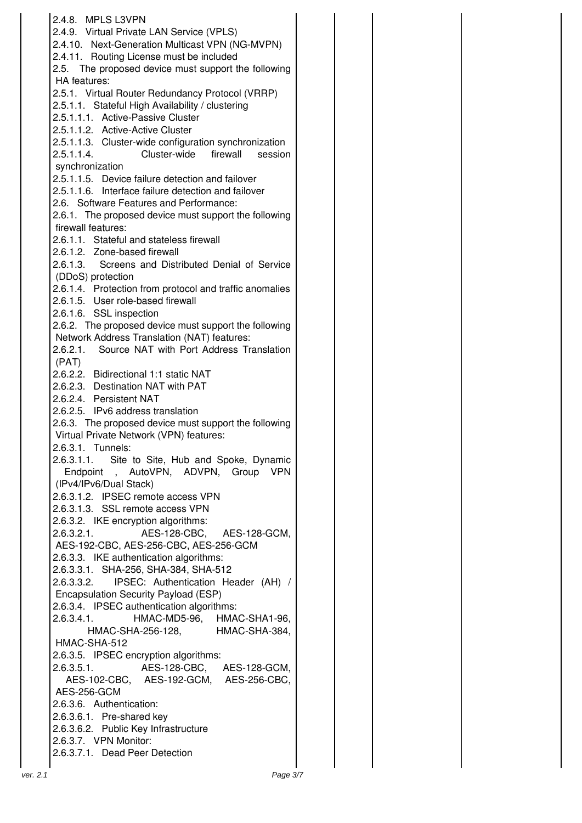|          | 2.4.8. MPLS L3VPN                                                    |  |
|----------|----------------------------------------------------------------------|--|
|          | 2.4.9. Virtual Private LAN Service (VPLS)                            |  |
|          | 2.4.10. Next-Generation Multicast VPN (NG-MVPN)                      |  |
|          | 2.4.11. Routing License must be included                             |  |
|          |                                                                      |  |
|          | 2.5. The proposed device must support the following<br>HA features:  |  |
|          | 2.5.1. Virtual Router Redundancy Protocol (VRRP)                     |  |
|          | 2.5.1.1. Stateful High Availability / clustering                     |  |
|          | 2.5.1.1.1. Active-Passive Cluster                                    |  |
|          | 2.5.1.1.2. Active-Active Cluster                                     |  |
|          | 2.5.1.1.3. Cluster-wide configuration synchronization                |  |
|          | 2.5.1.1.4.<br>Cluster-wide firewall session                          |  |
|          | synchronization                                                      |  |
|          | 2.5.1.1.5. Device failure detection and failover                     |  |
|          | 2.5.1.1.6. Interface failure detection and failover                  |  |
|          | 2.6. Software Features and Performance:                              |  |
|          | 2.6.1. The proposed device must support the following                |  |
|          | firewall features:                                                   |  |
|          | 2.6.1.1. Stateful and stateless firewall                             |  |
|          | 2.6.1.2. Zone-based firewall                                         |  |
|          | 2.6.1.3. Screens and Distributed Denial of Service                   |  |
|          | (DDoS) protection                                                    |  |
|          | 2.6.1.4. Protection from protocol and traffic anomalies              |  |
|          | 2.6.1.5. User role-based firewall                                    |  |
|          | 2.6.1.6. SSL inspection                                              |  |
|          | 2.6.2. The proposed device must support the following                |  |
|          | Network Address Translation (NAT) features:                          |  |
|          | 2.6.2.1. Source NAT with Port Address Translation                    |  |
|          | (PAT)                                                                |  |
|          | 2.6.2.2. Bidirectional 1:1 static NAT                                |  |
|          | 2.6.2.3. Destination NAT with PAT                                    |  |
|          | 2.6.2.4. Persistent NAT                                              |  |
|          | 2.6.2.5. IPv6 address translation                                    |  |
|          | 2.6.3. The proposed device must support the following                |  |
|          | Virtual Private Network (VPN) features:                              |  |
|          | 2.6.3.1. Tunnels:<br>2.6.3.1.1. Site to Site, Hub and Spoke, Dynamic |  |
|          | Endpoint, AutoVPN, ADVPN,<br>Group<br><b>VPN</b>                     |  |
|          | (IPv4/IPv6/Dual Stack)                                               |  |
|          | 2.6.3.1.2. IPSEC remote access VPN                                   |  |
|          | 2.6.3.1.3. SSL remote access VPN                                     |  |
|          | 2.6.3.2. IKE encryption algorithms:                                  |  |
|          | AES-128-CBC, AES-128-GCM,<br>2.6.3.2.1.                              |  |
|          | AES-192-CBC, AES-256-CBC, AES-256-GCM                                |  |
|          | 2.6.3.3. IKE authentication algorithms:                              |  |
|          | 2.6.3.3.1. SHA-256, SHA-384, SHA-512                                 |  |
|          | IPSEC: Authentication Header (AH) /<br>2.6.3.3.2.                    |  |
|          | Encapsulation Security Payload (ESP)                                 |  |
|          | 2.6.3.4. IPSEC authentication algorithms:                            |  |
|          | HMAC-MD5-96, HMAC-SHA1-96,<br>2.6.3.4.1.                             |  |
|          | HMAC-SHA-256-128, HMAC-SHA-384,                                      |  |
|          | HMAC-SHA-512                                                         |  |
|          | 2.6.3.5. IPSEC encryption algorithms:                                |  |
|          |                                                                      |  |
|          | AES-102-CBC, AES-192-GCM, AES-256-CBC,                               |  |
|          | AES-256-GCM                                                          |  |
|          | 2.6.3.6. Authentication:                                             |  |
|          | 2.6.3.6.1. Pre-shared key                                            |  |
|          | 2.6.3.6.2. Public Key Infrastructure<br>2.6.3.7. VPN Monitor:        |  |
|          | 2.6.3.7.1. Dead Peer Detection                                       |  |
|          |                                                                      |  |
| ver. 2.1 | Page 3/7                                                             |  |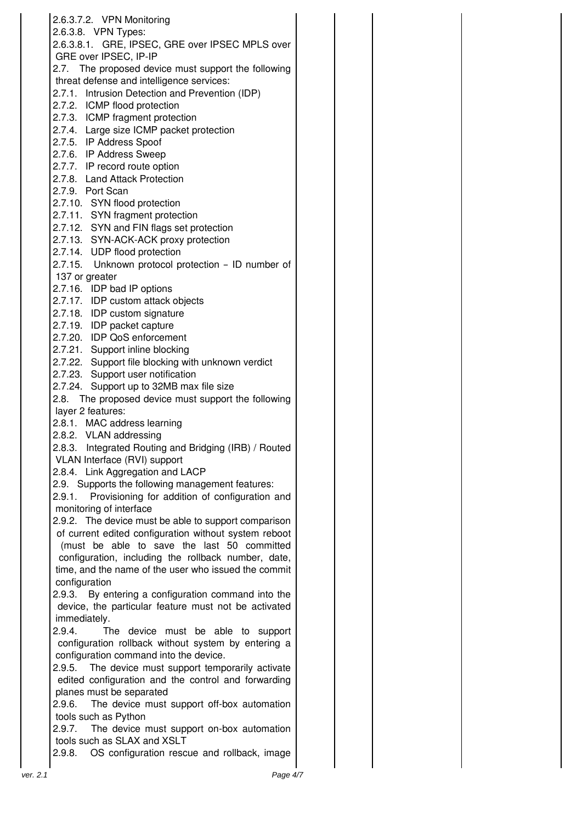|          | 2.6.3.7.2. VPN Monitoring<br>2.6.3.8. VPN Types:                                                 |  |
|----------|--------------------------------------------------------------------------------------------------|--|
|          | 2.6.3.8.1. GRE, IPSEC, GRE over IPSEC MPLS over                                                  |  |
|          | GRE over IPSEC, IP-IP                                                                            |  |
|          | 2.7. The proposed device must support the following                                              |  |
|          | threat defense and intelligence services:                                                        |  |
|          | 2.7.1.<br>Intrusion Detection and Prevention (IDP)                                               |  |
|          | 2.7.2. ICMP flood protection                                                                     |  |
|          | 2.7.3. ICMP fragment protection                                                                  |  |
|          | 2.7.4. Large size ICMP packet protection                                                         |  |
|          | 2.7.5. IP Address Spoof                                                                          |  |
|          | 2.7.6. IP Address Sweep                                                                          |  |
|          | 2.7.7. IP record route option                                                                    |  |
|          | 2.7.8. Land Attack Protection                                                                    |  |
|          | 2.7.9. Port Scan                                                                                 |  |
|          | 2.7.10. SYN flood protection                                                                     |  |
|          | 2.7.11. SYN fragment protection                                                                  |  |
|          | 2.7.12. SYN and FIN flags set protection<br>2.7.13. SYN-ACK-ACK proxy protection                 |  |
|          | 2.7.14. UDP flood protection                                                                     |  |
|          | 2.7.15. Unknown protocol protection - ID number of                                               |  |
|          | 137 or greater                                                                                   |  |
|          | 2.7.16. IDP bad IP options                                                                       |  |
|          | 2.7.17. IDP custom attack objects                                                                |  |
|          | 2.7.18. IDP custom signature                                                                     |  |
|          | 2.7.19. IDP packet capture                                                                       |  |
|          | 2.7.20. IDP QoS enforcement                                                                      |  |
|          | 2.7.21. Support inline blocking                                                                  |  |
|          | 2.7.22. Support file blocking with unknown verdict                                               |  |
|          | 2.7.23. Support user notification                                                                |  |
|          | 2.7.24. Support up to 32MB max file size                                                         |  |
|          | 2.8. The proposed device must support the following                                              |  |
|          | layer 2 features:                                                                                |  |
|          | 2.8.1. MAC address learning                                                                      |  |
|          | 2.8.2. VLAN addressing<br>2.8.3. Integrated Routing and Bridging (IRB) / Routed                  |  |
|          | VLAN Interface (RVI) support                                                                     |  |
|          | 2.8.4. Link Aggregation and LACP                                                                 |  |
|          | 2.9. Supports the following management features:                                                 |  |
|          | Provisioning for addition of configuration and<br>2.9.1.                                         |  |
|          | monitoring of interface                                                                          |  |
|          | 2.9.2. The device must be able to support comparison                                             |  |
|          | of current edited configuration without system reboot                                            |  |
|          | (must be able to save the last 50 committed                                                      |  |
|          | configuration, including the rollback number, date,                                              |  |
|          | time, and the name of the user who issued the commit                                             |  |
|          | configuration                                                                                    |  |
|          | 2.9.3. By entering a configuration command into the                                              |  |
|          | device, the particular feature must not be activated                                             |  |
|          | immediately.                                                                                     |  |
|          | 2.9.4.<br>The<br>device must be able to<br>support                                               |  |
|          | configuration rollback without system by entering a                                              |  |
|          | configuration command into the device.<br>The device must support temporarily activate<br>2.9.5. |  |
|          | edited configuration and the control and forwarding                                              |  |
|          | planes must be separated                                                                         |  |
|          | The device must support off-box automation<br>2.9.6.                                             |  |
|          | tools such as Python                                                                             |  |
|          | The device must support on-box automation<br>2.9.7.                                              |  |
|          | tools such as SLAX and XSLT                                                                      |  |
|          | OS configuration rescue and rollback, image<br>2.9.8.                                            |  |
|          |                                                                                                  |  |
| ver. 2.1 | Page 4/7                                                                                         |  |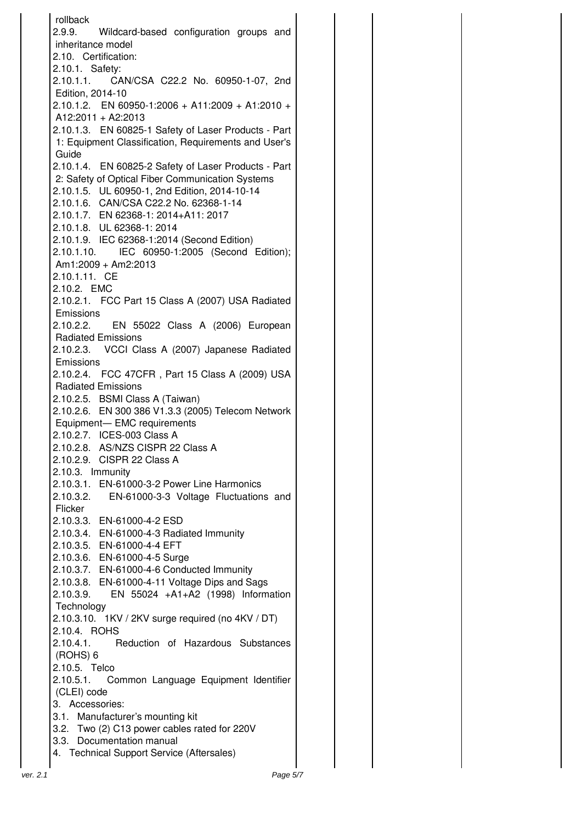rollback 2.9.9. Wildcard-based configuration groups and inheritance model 2.10. Certification: 2.10.1. Safety: 2.10.1.1. CAN/CSA C22.2 No. 60950-1-07, 2nd Edition, 2014-10 2.10.1.2. EN 60950-1:2006 + A11:2009 + A1:2010 + A12:2011 + A2:2013 2.10.1.3. EN 60825-1 Safety of Laser Products - Part 1: Equipment Classification, Requirements and User's Guide 2.10.1.4. EN 60825-2 Safety of Laser Products - Part 2: Safety of Optical Fiber Communication Systems 2.10.1.5. UL 60950-1, 2nd Edition, 2014-10-14 2.10.1.6. CAN/CSA C22.2 No. 62368-1-14 2.10.1.7. EN 62368-1: 2014+A11: 2017 2.10.1.8. UL 62368-1: 2014 2.10.1.9. IEC 62368-1:2014 (Second Edition) 2.10.1.10. IEC 60950-1:2005 (Second Edition); Am1:2009 + Am2:2013 2.10.1.11. CE 2.10.2. EMC 2.10.2.1. FCC Part 15 Class A (2007) USA Radiated **Emissions** 2.10.2.2. EN 55022 Class A (2006) European Radiated Emissions 2.10.2.3. VCCI Class A (2007) Japanese Radiated Emissions 2.10.2.4. FCC 47CFR , Part 15 Class A (2009) USA Radiated Emissions 2.10.2.5. BSMI Class A (Taiwan) 2.10.2.6. EN 300 386 V1.3.3 (2005) Telecom Network Equipment— EMC requirements 2.10.2.7. ICES-003 Class A 2.10.2.8. AS/NZS CISPR 22 Class A 2.10.2.9. CISPR 22 Class A 2.10.3. Immunity 2.10.3.1. EN-61000-3-2 Power Line Harmonics 2.10.3.2. EN-61000-3-3 Voltage Fluctuations and Flicker 2.10.3.3. EN-61000-4-2 ESD 2.10.3.4. EN-61000-4-3 Radiated Immunity 2.10.3.5. EN-61000-4-4 EFT 2.10.3.6. EN-61000-4-5 Surge 2.10.3.7. EN-61000-4-6 Conducted Immunity 2.10.3.8. EN-61000-4-11 Voltage Dips and Sags 2.10.3.9. EN 55024 +A1+A2 (1998) Information **Technology** 2.10.3.10. 1KV / 2KV surge required (no 4KV / DT) 2.10.4. ROHS 2.10.4.1. Reduction of Hazardous Substances (ROHS) 6 2.10.5. Telco 2.10.5.1. Common Language Equipment Identifier (CLEI) code 3. Accessories: 3.1. Manufacturer's mounting kit 3.2. Two (2) C13 power cables rated for 220V 3.3. Documentation manual 4. Technical Support Service (Aftersales)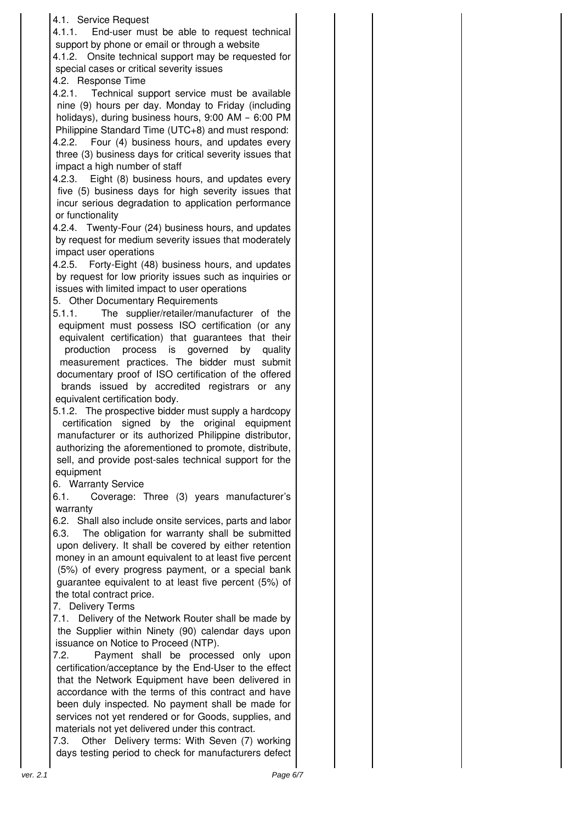| 4.1. Service Request<br>4.1.1.<br>End-user must be able to request technical<br>support by phone or email or through a website<br>4.1.2. Onsite technical support may be requested for<br>special cases or critical severity issues<br>4.2. Response Time<br>Technical support service must be available<br>4.2.1.<br>nine (9) hours per day. Monday to Friday (including<br>holidays), during business hours, 9:00 AM - 6:00 PM<br>Philippine Standard Time (UTC+8) and must respond:<br>Four (4) business hours, and updates every<br>4.2.2.<br>three (3) business days for critical severity issues that<br>impact a high number of staff<br>4.2.3. Eight (8) business hours, and updates every<br>five (5) business days for high severity issues that<br>incur serious degradation to application performance<br>or functionality<br>4.2.4. Twenty-Four (24) business hours, and updates<br>by request for medium severity issues that moderately<br>impact user operations<br>4.2.5. Forty-Eight (48) business hours, and updates<br>by request for low priority issues such as inquiries or<br>issues with limited impact to user operations<br>5. Other Documentary Requirements<br>The supplier/retailer/manufacturer of the<br>5.1.1.<br>equipment must possess ISO certification (or any<br>equivalent certification) that guarantees that their<br>process is governed<br>production<br>by<br>quality<br>measurement practices. The bidder must submit<br>documentary proof of ISO certification of the offered<br>brands issued by accredited registrars or any<br>equivalent certification body.<br>5.1.2. The prospective bidder must supply a hardcopy<br>certification signed by the original equipment<br>manufacturer or its authorized Philippine distributor,<br>authorizing the aforementioned to promote, distribute,<br>sell, and provide post-sales technical support for the<br>equipment<br>6. Warranty Service<br>Coverage: Three (3) years manufacturer's<br>6.1.<br>warranty<br>6.2. Shall also include onsite services, parts and labor<br>The obligation for warranty shall be submitted<br>6.3.<br>upon delivery. It shall be covered by either retention<br>money in an amount equivalent to at least five percent<br>(5%) of every progress payment, or a special bank<br>guarantee equivalent to at least five percent (5%) of<br>the total contract price.<br>7. Delivery Terms<br>7.1. Delivery of the Network Router shall be made by<br>the Supplier within Ninety (90) calendar days upon<br>issuance on Notice to Proceed (NTP).<br>7.2.<br>Payment shall be processed only upon<br>certification/acceptance by the End-User to the effect<br>that the Network Equipment have been delivered in<br>accordance with the terms of this contract and have<br>been duly inspected. No payment shall be made for<br>services not yet rendered or for Goods, supplies, and<br>materials not yet delivered under this contract.<br>Other Delivery terms: With Seven (7) working<br>7.3.<br>days testing period to check for manufacturers defect<br>Page 6/7<br>ver. 2.1 |  |
|-------------------------------------------------------------------------------------------------------------------------------------------------------------------------------------------------------------------------------------------------------------------------------------------------------------------------------------------------------------------------------------------------------------------------------------------------------------------------------------------------------------------------------------------------------------------------------------------------------------------------------------------------------------------------------------------------------------------------------------------------------------------------------------------------------------------------------------------------------------------------------------------------------------------------------------------------------------------------------------------------------------------------------------------------------------------------------------------------------------------------------------------------------------------------------------------------------------------------------------------------------------------------------------------------------------------------------------------------------------------------------------------------------------------------------------------------------------------------------------------------------------------------------------------------------------------------------------------------------------------------------------------------------------------------------------------------------------------------------------------------------------------------------------------------------------------------------------------------------------------------------------------------------------------------------------------------------------------------------------------------------------------------------------------------------------------------------------------------------------------------------------------------------------------------------------------------------------------------------------------------------------------------------------------------------------------------------------------------------------------------------------------------------------------------------------------------------------------------------------------------------------------------------------------------------------------------------------------------------------------------------------------------------------------------------------------------------------------------------------------------------------------------------------------------------------------------------------------------------------------------------------------------------------------------------------------------------------------------------------------------------------------------------------------------------------------------------------------------------------|--|
|-------------------------------------------------------------------------------------------------------------------------------------------------------------------------------------------------------------------------------------------------------------------------------------------------------------------------------------------------------------------------------------------------------------------------------------------------------------------------------------------------------------------------------------------------------------------------------------------------------------------------------------------------------------------------------------------------------------------------------------------------------------------------------------------------------------------------------------------------------------------------------------------------------------------------------------------------------------------------------------------------------------------------------------------------------------------------------------------------------------------------------------------------------------------------------------------------------------------------------------------------------------------------------------------------------------------------------------------------------------------------------------------------------------------------------------------------------------------------------------------------------------------------------------------------------------------------------------------------------------------------------------------------------------------------------------------------------------------------------------------------------------------------------------------------------------------------------------------------------------------------------------------------------------------------------------------------------------------------------------------------------------------------------------------------------------------------------------------------------------------------------------------------------------------------------------------------------------------------------------------------------------------------------------------------------------------------------------------------------------------------------------------------------------------------------------------------------------------------------------------------------------------------------------------------------------------------------------------------------------------------------------------------------------------------------------------------------------------------------------------------------------------------------------------------------------------------------------------------------------------------------------------------------------------------------------------------------------------------------------------------------------------------------------------------------------------------------------------------------------|--|